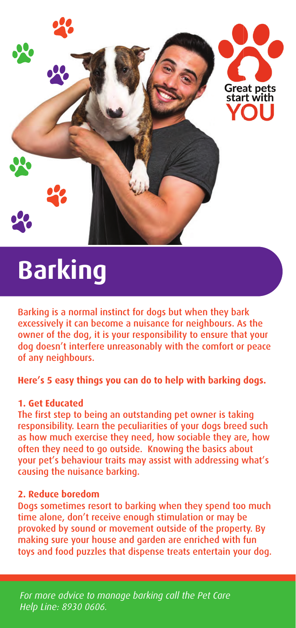

# **Barking**

Barking is a normal instinct for dogs but when they bark excessively it can become a nuisance for neighbours. As the owner of the dog, it is your responsibility to ensure that your dog doesn't interfere unreasonably with the comfort or peace of any neighbours.

## **Here's 5 easy things you can do to help with barking dogs.**

#### **1. Get Educated**

The first step to being an outstanding pet owner is taking responsibility. Learn the peculiarities of your dogs breed such as how much exercise they need, how sociable they are, how often they need to go outside. Knowing the basics about your pet's behaviour traits may assist with addressing what's causing the nuisance barking.

### **2. Reduce boredom**

Dogs sometimes resort to barking when they spend too much time alone, don't receive enough stimulation or may be provoked by sound or movement outside of the property. By making sure your house and garden are enriched with fun toys and food puzzles that dispense treats entertain your dog.